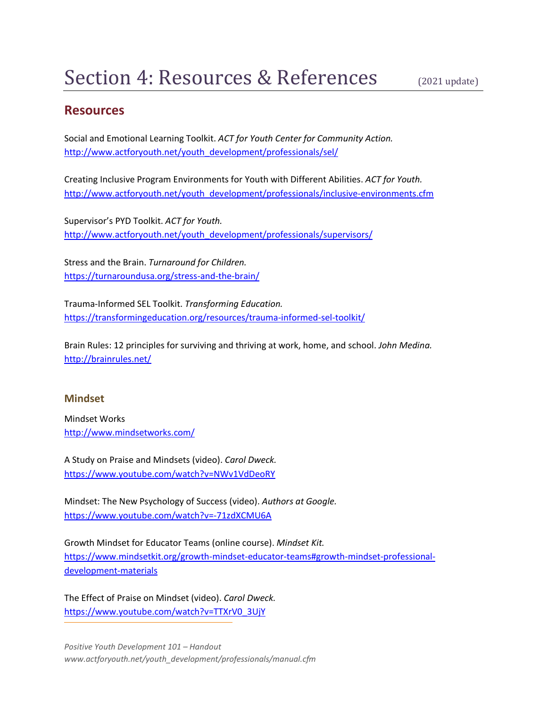# **Resources**

Social and Emotional Learning Toolkit. *ACT for Youth Center for Community Action.* http://www.actforyouth.net/youth\_development/professionals/sel/

Creating Inclusive Program Environments for Youth with Different Abilities. *ACT for Youth.* http://www.actforyouth.net/youth\_development/professionals/inclusive-environments.cfm

Supervisor's PYD Toolkit. *ACT for Youth.* http://www.actforyouth.net/youth\_development/professionals/supervisors/

Stress and the Brain. *Turnaround for Children.* https://turnaroundusa.org/stress-and-the-brain/

Trauma-Informed SEL Toolkit. *Transforming Education.* https://transformingeducation.org/resources/trauma-informed-sel-toolkit/

Brain Rules: 12 principles for surviving and thriving at work, home, and school. *John Medina.* http://brainrules.net/

#### **Mindset**

Mindset Works http://www.mindsetworks.com/

A Study on Praise and Mindsets (video). *Carol Dweck.* https://www.youtube.com/watch?v=NWv1VdDeoRY

Mindset: The New Psychology of Success (video). *Authors at Google.* https://www.youtube.com/watch?v=-71zdXCMU6A

Growth Mindset for Educator Teams (online course). *Mindset Kit.* https://www.mindsetkit.org/growth-mindset-educator-teams#growth-mindset-professionaldevelopment-materials

The Effect of Praise on Mindset (video). *Carol Dweck.* https://www.youtube.com/watch?v=TTXrV0\_3UjY

*Positive Youth Development 101 – Handout www.actforyouth.net/youth\_development/professionals/manual.cfm*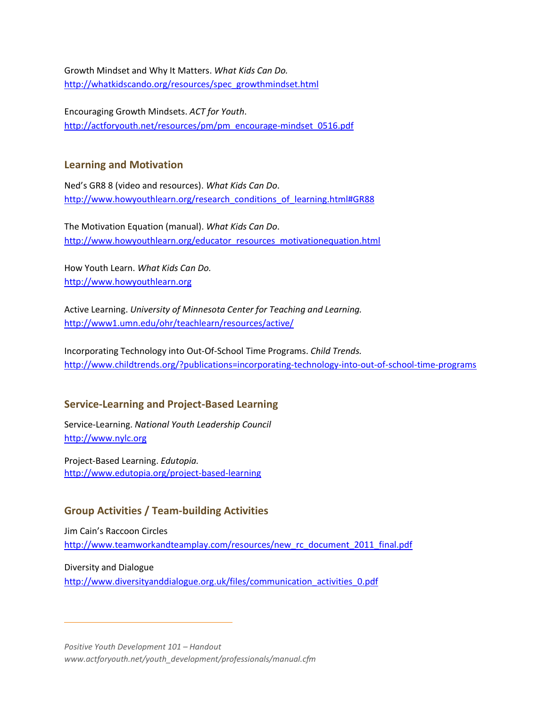Growth Mindset and Why It Matters. *What Kids Can Do.* http://whatkidscando.org/resources/spec\_growthmindset.html

Encouraging Growth Mindsets. *ACT for Youth*. http://actforyouth.net/resources/pm/pm\_encourage-mindset\_0516.pdf

#### **Learning and Motivation**

Ned's GR8 8 (video and resources). *What Kids Can Do*. http://www.howyouthlearn.org/research\_conditions\_of\_learning.html#GR88

The Motivation Equation (manual). *What Kids Can Do*. http://www.howyouthlearn.org/educator\_resources\_motivationequation.html

How Youth Learn. *What Kids Can Do.* http://www.howyouthlearn.org

Active Learning. *University of Minnesota Center for Teaching and Learning.* http://www1.umn.edu/ohr/teachlearn/resources/active/

Incorporating Technology into Out-Of-School Time Programs. *Child Trends.* http://www.childtrends.org/?publications=incorporating-technology-into-out-of-school-time-programs

### **Service-Learning and Project-Based Learning**

Service-Learning. *National Youth Leadership Council* http://www.nylc.org

Project-Based Learning. *Edutopia.* http://www.edutopia.org/project-based-learning

### **Group Activities / Team-building Activities**

Jim Cain's Raccoon Circles http://www.teamworkandteamplay.com/resources/new\_rc\_document\_2011\_final.pdf

Diversity and Dialogue http://www.diversityanddialogue.org.uk/files/communication\_activities\_0.pdf

*Positive Youth Development 101 – Handout www.actforyouth.net/youth\_development/professionals/manual.cfm*